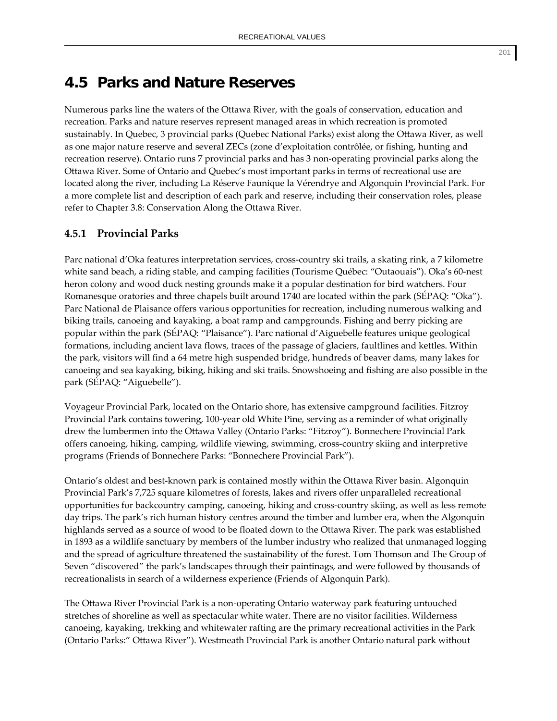## **4.5 Parks and Nature Reserves**

Numerous parks line the waters of the Ottawa River, with the goals of conservation, education and recreation. Parks and nature reserves represent managed areas in which recreation is promoted sustainably. In Quebec, 3 provincial parks (Quebec National Parks) exist along the Ottawa River, as well as one major nature reserve and several ZECs (zone d'exploitation contrôlée, or fishing, hunting and recreation reserve). Ontario runs 7 provincial parks and has 3 non‐operating provincial parks along the Ottawa River. Some of Ontario and Quebec's most important parks in terms of recreational use are located along the river, including La Réserve Faunique la Vérendrye and Algonquin Provincial Park. For a more complete list and description of each park and reserve, including their conservation roles, please refer to Chapter 3.8: Conservation Along the Ottawa River.

## **4.5.1 Provincial Parks**

Parc national d'Oka features interpretation services, cross‐country ski trails, a skating rink, a 7 kilometre white sand beach, a riding stable, and camping facilities (Tourisme Québec: "Outaouais"). Oka's 60-nest heron colony and wood duck nesting grounds make it a popular destination for bird watchers. Four Romanesque oratories and three chapels built around 1740 are located within the park (SÉPAQ: "Oka"). Parc National de Plaisance offers various opportunities for recreation, including numerous walking and biking trails, canoeing and kayaking, a boat ramp and campgrounds. Fishing and berry picking are popular within the park (SÉPAQ: "Plaisance"). Parc national d'Aiguebelle features unique geological formations, including ancient lava flows, traces of the passage of glaciers, faultlines and kettles. Within the park, visitors will find a 64 metre high suspended bridge, hundreds of beaver dams, many lakes for canoeing and sea kayaking, biking, hiking and ski trails. Snowshoeing and fishing are also possible in the park (SÉPAQ: "Aiguebelle").

Voyageur Provincial Park, located on the Ontario shore, has extensive campground facilities. Fitzroy Provincial Park contains towering, 100‐year old White Pine, serving as a reminder of what originally drew the lumbermen into the Ottawa Valley (Ontario Parks: "Fitzroy"). Bonnechere Provincial Park offers canoeing, hiking, camping, wildlife viewing, swimming, cross‐country skiing and interpretive programs (Friends of Bonnechere Parks: "Bonnechere Provincial Park").

Ontario's oldest and best‐known park is contained mostly within the Ottawa River basin. Algonquin Provincial Park's 7,725 square kilometres of forests, lakes and rivers offer unparalleled recreational opportunities for backcountry camping, canoeing, hiking and cross‐country skiing, as well as less remote day trips. The park's rich human history centres around the timber and lumber era, when the Algonquin highlands served as a source of wood to be floated down to the Ottawa River. The park was established in 1893 as a wildlife sanctuary by members of the lumber industry who realized that unmanaged logging and the spread of agriculture threatened the sustainability of the forest. Tom Thomson and The Group of Seven "discovered" the park's landscapes through their paintinags, and were followed by thousands of recreationalists in search of a wilderness experience (Friends of Algonquin Park).

The Ottawa River Provincial Park is a non‐operating Ontario waterway park featuring untouched stretches of shoreline as well as spectacular white water. There are no visitor facilities. Wilderness canoeing, kayaking, trekking and whitewater rafting are the primary recreational activities in the Park (Ontario Parks:" Ottawa River"). Westmeath Provincial Park is another Ontario natural park without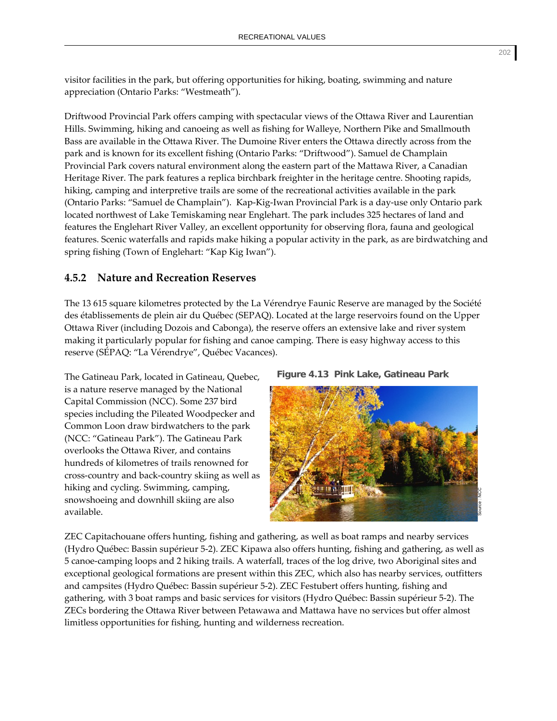visitor facilities in the park, but offering opportunities for hiking, boating, swimming and nature appreciation (Ontario Parks: "Westmeath").

Driftwood Provincial Park offers camping with spectacular views of the Ottawa River and Laurentian Hills. Swimming, hiking and canoeing as well as fishing for Walleye, Northern Pike and Smallmouth Bass are available in the Ottawa River. The Dumoine River enters the Ottawa directly across from the park and is known for its excellent fishing (Ontario Parks: "Driftwood"). Samuel de Champlain Provincial Park covers natural environment along the eastern part of the Mattawa River, a Canadian Heritage River. The park features a replica birchbark freighter in the heritage centre. Shooting rapids, hiking, camping and interpretive trails are some of the recreational activities available in the park (Ontario Parks: "Samuel de Champlain"). Kap‐Kig‐Iwan Provincial Park is a day‐use only Ontario park located northwest of Lake Temiskaming near Englehart. The park includes 325 hectares of land and features the Englehart River Valley, an excellent opportunity for observing flora, fauna and geological features. Scenic waterfalls and rapids make hiking a popular activity in the park, as are birdwatching and spring fishing (Town of Englehart: "Kap Kig Iwan").

## **4.5.2 Nature and Recreation Reserves**

The 13 615 square kilometres protected by the La Vérendrye Faunic Reserve are managed by the Société des établissements de plein air du Québec (SEPAQ). Located at the large reservoirs found on the Upper Ottawa River (including Dozois and Cabonga), the reserve offers an extensive lake and river system making it particularly popular for fishing and canoe camping. There is easy highway access to this reserve (SÉPAQ: "La Vérendrye", Québec Vacances).

The Gatineau Park, located in Gatineau, Quebec, is a nature reserve managed by the National Capital Commission (NCC). Some 237 bird species including the Pileated Woodpecker and Common Loon draw birdwatchers to the park (NCC: "Gatineau Park"). The Gatineau Park overlooks the Ottawa River, and contains hundreds of kilometres of trails renowned for cross‐country and back‐country skiing as well as hiking and cycling. Swimming, camping, snowshoeing and downhill skiing are also available.





ZEC Capitachouane offers hunting, fishing and gathering, as well as boat ramps and nearby services (Hydro Québec: Bassin supérieur 5‐2). ZEC Kipawa also offers hunting, fishing and gathering, as well as 5 canoe‐camping loops and 2 hiking trails. A waterfall, traces of the log drive, two Aboriginal sites and exceptional geological formations are present within this ZEC, which also has nearby services, outfitters and campsites (Hydro Québec: Bassin supérieur 5‐2). ZEC Festubert offers hunting, fishing and gathering, with 3 boat ramps and basic services for visitors (Hydro Québec: Bassin supérieur 5‐2). The ZECs bordering the Ottawa River between Petawawa and Mattawa have no services but offer almost limitless opportunities for fishing, hunting and wilderness recreation.